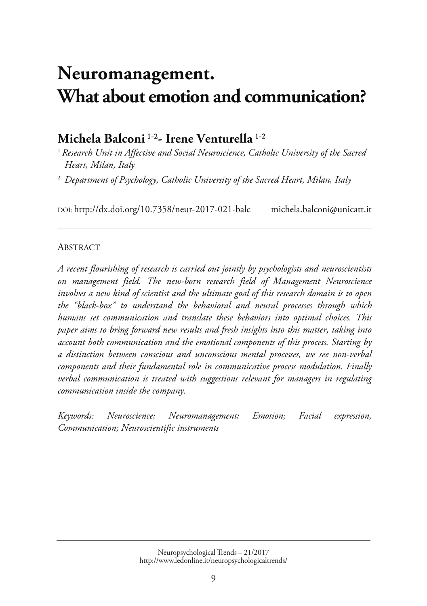# **Neuromanagement. [What about emotion and communication?](http://www.ledonline.it/NeuropsychologicalTrends/21-2017.html)**

# **Michela Balconi** 1-2 **- Irene Venturella** 1-2

<sup>1</sup> Research Unit in Affective and Social Neuroscience, Catholic University of the Sacred *Heart, Milan, Italy* 

<sup>2</sup> Department of Psychology, Catholic University of the Sacred Heart, Milan, Italy

DOI: http://dx.doi.org/10.7358/neur-2017-021-balc michela.balconi@unicatt.it

#### **ABSTRACT**

*A recent flourishing of research is carried out jointly by psychologists and neuroscientists on management field. The new-born research field of Management Neuroscience involves a new kind of scientist and the ultimate goal of this research domain is to open the "black-box" to understand the behavioral and neural processes through which humans set communication and translate these behaviors into optimal choices. This paper aims to bring forward new results and fresh insights into this matter, taking into account both communication and the emotional components of this process. Starting by a distinction between conscious and unconscious mental processes, we see non-verbal components and their fundamental role in communicative process modulation. Finally verbal communication is treated with suggestions relevant for managers in regulating communication inside the company.* 

*Keywords: Neuroscience; Neuromanagement; Emotion; Facial expression, Communication; Neuroscientific instruments*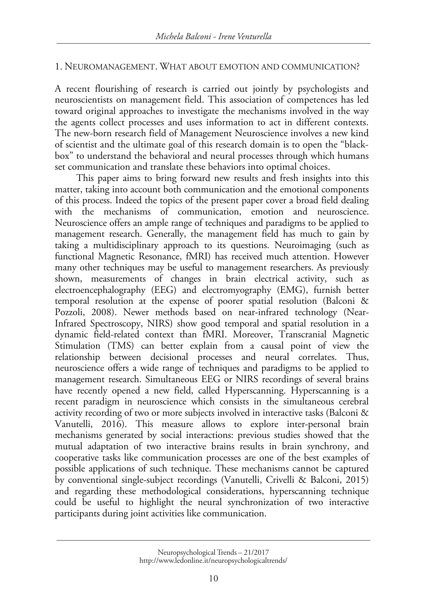### 1. NEUROMANAGEMENT. WHAT ABOUT EMOTION AND COMMUNICATION?

A recent flourishing of research is carried out jointly by psychologists and neuroscientists on management field. This association of competences has led toward original approaches to investigate the mechanisms involved in the way the agents collect processes and uses information to act in different contexts. The new-born research field of Management Neuroscience involves a new kind of scientist and the ultimate goal of this research domain is to open the "blackbox" to understand the behavioral and neural processes through which humans set communication and translate these behaviors into optimal choices.

This paper aims to bring forward new results and fresh insights into this matter, taking into account both communication and the emotional components of this process. Indeed the topics of the present paper cover a broad field dealing with the mechanisms of communication, emotion and neuroscience. Neuroscience offers an ample range of techniques and paradigms to be applied to management research. Generally, the management field has much to gain by taking a multidisciplinary approach to its questions. Neuroimaging (such as functional Magnetic Resonance, fMRI) has received much attention. However many other techniques may be useful to management researchers. As previously shown, measurements of changes in brain electrical activity, such as electroencephalography (EEG) and electromyography (EMG), furnish better temporal resolution at the expense of poorer spatial resolution (Balconi & Pozzoli, 2008). Newer methods based on near-infrared technology (Near-Infrared Spectroscopy, NIRS) show good temporal and spatial resolution in a dynamic field-related context than fMRI. Moreover, Transcranial Magnetic Stimulation (TMS) can better explain from a causal point of view the relationship between decisional processes and neural correlates. Thus, neuroscience offers a wide range of techniques and paradigms to be applied to management research. Simultaneous EEG or NIRS recordings of several brains have recently opened a new field, called Hyperscanning. Hyperscanning is a recent paradigm in neuroscience which consists in the simultaneous cerebral activity recording of two or more subjects involved in interactive tasks (Balconi & Vanutelli, 2016). This measure allows to explore inter-personal brain mechanisms generated by social interactions: previous studies showed that the mutual adaptation of two interactive brains results in brain synchrony, and cooperative tasks like communication processes are one of the best examples of possible applications of such technique. These mechanisms cannot be captured by conventional single-subject recordings (Vanutelli, Crivelli & Balconi, 2015) and regarding these methodological considerations, hyperscanning technique could be useful to highlight the neural synchronization of two interactive participants during joint activities like communication.

Neuropsychological Trends – 21/2017 http://www.ledonline.it/neuropsychologicaltrends/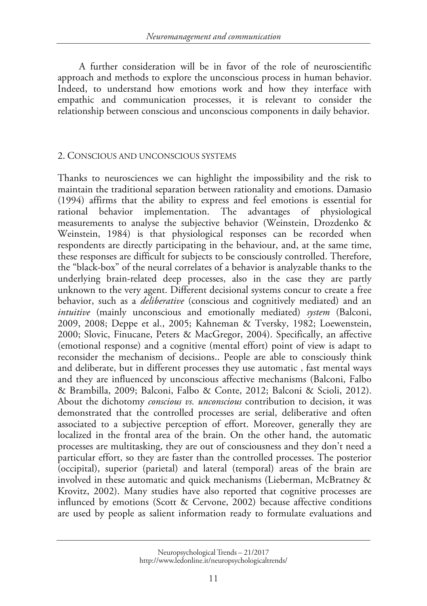A further consideration will be in favor of the role of neuroscientific approach and methods to explore the unconscious process in human behavior. Indeed, to understand how emotions work and how they interface with empathic and communication processes, it is relevant to consider the relationship between conscious and unconscious components in daily behavior.

### 2. CONSCIOUS AND UNCONSCIOUS SYSTEMS

Thanks to neurosciences we can highlight the impossibility and the risk to maintain the traditional separation between rationality and emotions. Damasio (1994) affirms that the ability to express and feel emotions is essential for rational behavior implementation. The advantages of physiological measurements to analyse the subjective behavior (Weinstein, Drozdenko & Weinstein, 1984) is that physiological responses can be recorded when respondents are directly participating in the behaviour, and, at the same time, these responses are difficult for subjects to be consciously controlled. Therefore, the "black-box" of the neural correlates of a behavior is analyzable thanks to the underlying brain-related deep processes, also in the case they are partly unknown to the very agent. Different decisional systems concur to create a free behavior, such as a *deliberative* (conscious and cognitively mediated) and an *intuitive* (mainly unconscious and emotionally mediated) *system* (Balconi, 2009, 2008; Deppe et al., 2005; Kahneman & Tversky, 1982; Loewenstein, 2000; Slovic, Finucane, Peters & MacGregor, 2004). Specifically, an affective (emotional response) and a cognitive (mental effort) point of view is adapt to reconsider the mechanism of decisions.. People are able to consciously think and deliberate, but in different processes they use automatic , fast mental ways and they are influenced by unconscious affective mechanisms (Balconi, Falbo & Brambilla, 2009; Balconi, Falbo & Conte, 2012; Balconi & Scioli, 2012). About the dichotomy *conscious vs. unconscious* contribution to decision, it was demonstrated that the controlled processes are serial, deliberative and often associated to a subjective perception of effort. Moreover, generally they are localized in the frontal area of the brain. On the other hand, the automatic processes are multitasking, they are out of consciousness and they don't need a particular effort, so they are faster than the controlled processes. The posterior (occipital), superior (parietal) and lateral (temporal) areas of the brain are involved in these automatic and quick mechanisms (Lieberman, McBratney & Krovitz, 2002). Many studies have also reported that cognitive processes are influnced by emotions (Scott & Cervone, 2002) because affective conditions are used by people as salient information ready to formulate evaluations and

Neuropsychological Trends – 21/2017 http://www.ledonline.it/neuropsychologicaltrends/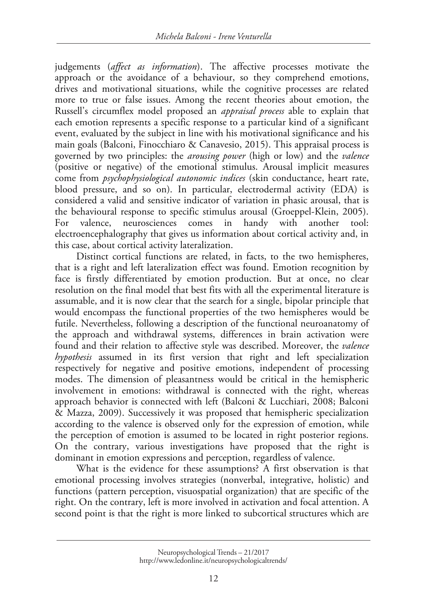judgements (*affect as information*). The affective processes motivate the approach or the avoidance of a behaviour, so they comprehend emotions, drives and motivational situations, while the cognitive processes are related more to true or false issues. Among the recent theories about emotion, the Russell's circumflex model proposed an *appraisal process* able to explain that each emotion represents a specific response to a particular kind of a significant event, evaluated by the subject in line with his motivational significance and his main goals (Balconi, Finocchiaro & Canavesio, 2015). This appraisal process is governed by two principles: the *arousing power* (high or low) and the *valence* (positive or negative) of the emotional stimulus. Arousal implicit measures come from *psychophysiological autonomic indices* (skin conductance, heart rate, blood pressure, and so on). In particular, electrodermal activity (EDA) is considered a valid and sensitive indicator of variation in phasic arousal, that is the behavioural response to specific stimulus arousal (Groeppel-Klein, 2005). For valence, neurosciences comes in handy with another tool: electroencephalography that gives us information about cortical activity and, in this case, about cortical activity lateralization.

Distinct cortical functions are related, in facts, to the two hemispheres, that is a right and left lateralization effect was found. Emotion recognition by face is firstly differentiated by emotion production. But at once, no clear resolution on the final model that best fits with all the experimental literature is assumable, and it is now clear that the search for a single, bipolar principle that would encompass the functional properties of the two hemispheres would be futile. Nevertheless, following a description of the functional neuroanatomy of the approach and withdrawal systems, differences in brain activation were found and their relation to affective style was described. Moreover, the *valence hypothesis* assumed in its first version that right and left specialization respectively for negative and positive emotions, independent of processing modes. The dimension of pleasantness would be critical in the hemispheric involvement in emotions: withdrawal is connected with the right, whereas approach behavior is connected with left (Balconi & Lucchiari, 2008; Balconi & Mazza, 2009). Successively it was proposed that hemispheric specialization according to the valence is observed only for the expression of emotion, while the perception of emotion is assumed to be located in right posterior regions. On the contrary, various investigations have proposed that the right is dominant in emotion expressions and perception, regardless of valence.

What is the evidence for these assumptions? A first observation is that emotional processing involves strategies (nonverbal, integrative, holistic) and functions (pattern perception, visuospatial organization) that are specific of the right. On the contrary, left is more involved in activation and focal attention. A second point is that the right is more linked to subcortical structures which are

Neuropsychological Trends – 21/2017 http://www.ledonline.it/neuropsychologicaltrends/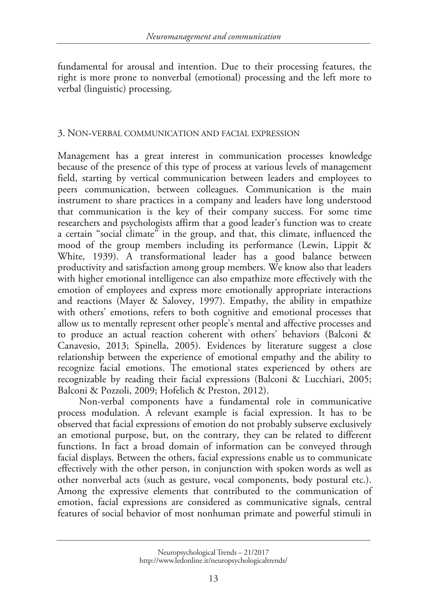fundamental for arousal and intention. Due to their processing features, the right is more prone to nonverbal (emotional) processing and the left more to verbal (linguistic) processing.

### 3. NON-VERBAL COMMUNICATION AND FACIAL EXPRESSION

Management has a great interest in communication processes knowledge because of the presence of this type of process at various levels of management field, starting by vertical communication between leaders and employees to peers communication, between colleagues. Communication is the main instrument to share practices in a company and leaders have long understood that communication is the key of their company success. For some time researchers and psychologists affirm that a good leader's function was to create a certain "social climate" in the group, and that, this climate, influenced the mood of the group members including its performance (Lewin, Lippit & White, 1939). A transformational leader has a good balance between productivity and satisfaction among group members. We know also that leaders with higher emotional intelligence can also empathize more effectively with the emotion of employees and express more emotionally appropriate interactions and reactions (Mayer & Salovey, 1997). Empathy, the ability in empathize with others' emotions, refers to both cognitive and emotional processes that allow us to mentally represent other people's mental and affective processes and to produce an actual reaction coherent with others' behaviors (Balconi & Canavesio, 2013; Spinella, 2005). Evidences by literature suggest a close relationship between the experience of emotional empathy and the ability to recognize facial emotions. The emotional states experienced by others are recognizable by reading their facial expressions (Balconi & Lucchiari, 2005; Balconi & Pozzoli, 2009; Hofelich & Preston, 2012).

Non-verbal components have a fundamental role in communicative process modulation. A relevant example is facial expression. It has to be observed that facial expressions of emotion do not probably subserve exclusively an emotional purpose, but, on the contrary, they can be related to different functions. In fact a broad domain of information can be conveyed through facial displays. Between the others, facial expressions enable us to communicate effectively with the other person, in conjunction with spoken words as well as other nonverbal acts (such as gesture, vocal components, body postural etc.). Among the expressive elements that contributed to the communication of emotion, facial expressions are considered as communicative signals, central features of social behavior of most nonhuman primate and powerful stimuli in

Neuropsychological Trends – 21/2017 http://www.ledonline.it/neuropsychologicaltrends/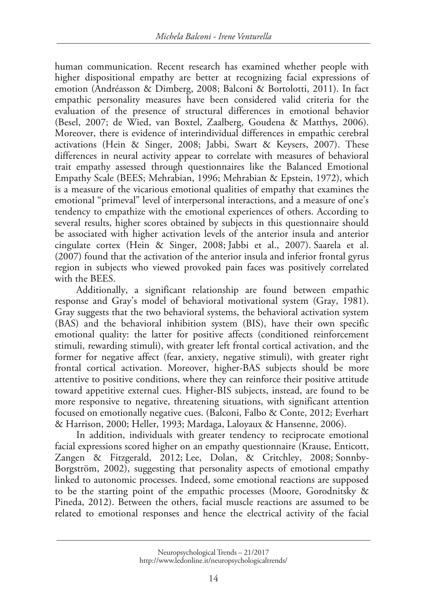human communication. Recent research has examined whether people with higher dispositional empathy are better at recognizing facial expressions of emotion (Andréasson & Dimberg, 2008; Balconi & Bortolotti, 2011). In fact empathic personality measures have been considered valid criteria for the evaluation of the presence of structural differences in emotional behavior (Besel, 2007; de Wied, van Boxtel, Zaalberg, Goudena & Matthys, 2006). Moreover, there is evidence of interindividual differences in empathic cerebral activations (Hein & Singer, 2008; Jabbi, Swart & Keysers, 2007). These differences in neural activity appear to correlate with measures of behavioral trait empathy assessed through questionnaires like the Balanced Emotional Empathy Scale (BEES; Mehrabian, 1996; Mehrabian & Epstein, 1972), which is a measure of the vicarious emotional qualities of empathy that examines the emotional "primeval" level of interpersonal interactions, and a measure of one's tendency to empathize with the emotional experiences of others. According to several results, higher scores obtained by subjects in this questionnaire should be associated with higher activation levels of the anterior insula and anterior cingulate cortex (Hein & Singer, 2008; Jabbi et al., 2007). Saarela et al. (2007) found that the activation of the anterior insula and inferior frontal gyrus region in subjects who viewed provoked pain faces was positively correlated with the BEES.

Additionally, a significant relationship are found between empathic response and Gray's model of behavioral motivational system (Gray, 1981). Gray suggests that the two behavioral systems, the behavioral activation system (BAS) and the behavioral inhibition system (BIS), have their own specific emotional quality: the latter for positive affects (conditioned reinforcement stimuli, rewarding stimuli), with greater left frontal cortical activation, and the former for negative affect (fear, anxiety, negative stimuli), with greater right frontal cortical activation. Moreover, higher-BAS subjects should be more attentive to positive conditions, where they can reinforce their positive attitude toward appetitive external cues. Higher-BIS subjects, instead, are found to be more responsive to negative, threatening situations, with significant attention focused on emotionally negative cues. (Balconi, Falbo & Conte, 2012; Everhart & Harrison, 2000; Heller, 1993; Mardaga, Laloyaux & Hansenne, 2006).

In addition, individuals with greater tendency to reciprocate emotional facial expressions scored higher on an empathy questionnaire (Krause, Enticott, Zangen & Fitzgerald, 2012; Lee, Dolan, & Critchley, 2008; Sonnby-Borgström, 2002), suggesting that personality aspects of emotional empathy linked to autonomic processes. Indeed, some emotional reactions are supposed to be the starting point of the empathic processes (Moore, Gorodnitsky & Pineda, 2012). Between the others, facial muscle reactions are assumed to be related to emotional responses and hence the electrical activity of the facial

Neuropsychological Trends – 21/2017 http://www.ledonline.it/neuropsychologicaltrends/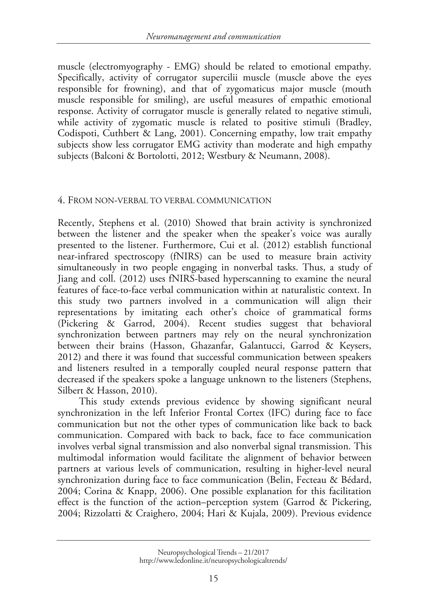muscle (electromyography - EMG) should be related to emotional empathy. Specifically, activity of corrugator supercilii muscle (muscle above the eyes responsible for frowning), and that of zygomaticus major muscle (mouth muscle responsible for smiling), are useful measures of empathic emotional response. Activity of corrugator muscle is generally related to negative stimuli, while activity of zygomatic muscle is related to positive stimuli (Bradley, Codispoti, Cuthbert & Lang, 2001). Concerning empathy, low trait empathy subjects show less corrugator EMG activity than moderate and high empathy subjects (Balconi & Bortolotti, 2012; Westbury & Neumann, 2008).

#### 4. FROM NON-VERBAL TO VERBAL COMMUNICATION

Recently, Stephens et al. (2010) Showed that brain activity is synchronized between the listener and the speaker when the speaker's voice was aurally presented to the listener. Furthermore, Cui et al. (2012) establish functional near-infrared spectroscopy (fNIRS) can be used to measure brain activity simultaneously in two people engaging in nonverbal tasks. Thus, a study of Jiang and coll. (2012) uses fNIRS-based hyperscanning to examine the neural features of face-to-face verbal communication within at naturalistic context. In this study two partners involved in a communication will align their representations by imitating each other's choice of grammatical forms (Pickering & Garrod, 2004). Recent studies suggest that behavioral synchronization between partners may rely on the neural synchronization between their brains (Hasson, Ghazanfar, Galantucci, Garrod & Keysers, 2012) and there it was found that successful communication between speakers and listeners resulted in a temporally coupled neural response pattern that decreased if the speakers spoke a language unknown to the listeners (Stephens, Silbert & Hasson, 2010).

This study extends previous evidence by showing significant neural synchronization in the left Inferior Frontal Cortex (IFC) during face to face communication but not the other types of communication like back to back communication. Compared with back to back, face to face communication involves verbal signal transmission and also nonverbal signal transmission. This multimodal information would facilitate the alignment of behavior between partners at various levels of communication, resulting in higher-level neural synchronization during face to face communication (Belin, Fecteau & Bédard, 2004; Corina & Knapp, 2006). One possible explanation for this facilitation effect is the function of the action–perception system (Garrod & Pickering, 2004; Rizzolatti & Craighero, 2004; Hari & Kujala, 2009). Previous evidence

Neuropsychological Trends – 21/2017 http://www.ledonline.it/neuropsychologicaltrends/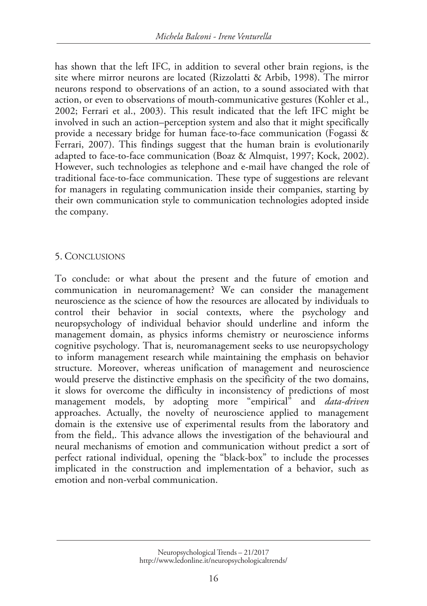has shown that the left IFC, in addition to several other brain regions, is the site where mirror neurons are located (Rizzolatti & Arbib, 1998). The mirror neurons respond to observations of an action, to a sound associated with that action, or even to observations of mouth-communicative gestures (Kohler et al., 2002; Ferrari et al., 2003). This result indicated that the left IFC might be involved in such an action–perception system and also that it might specifically provide a necessary bridge for human face-to-face communication (Fogassi & Ferrari, 2007). This findings suggest that the human brain is evolutionarily adapted to face-to-face communication (Boaz & Almquist, 1997; Kock, 2002). However, such technologies as telephone and e-mail have changed the role of traditional face-to-face communication. These type of suggestions are relevant for managers in regulating communication inside their companies, starting by their own communication style to communication technologies adopted inside the company.

## 5. CONCLUSIONS

To conclude: or what about the present and the future of emotion and communication in neuromanagement? We can consider the management neuroscience as the science of how the resources are allocated by individuals to control their behavior in social contexts, where the psychology and neuropsychology of individual behavior should underline and inform the management domain, as physics informs chemistry or neuroscience informs cognitive psychology. That is, neuromanagement seeks to use neuropsychology to inform management research while maintaining the emphasis on behavior structure. Moreover, whereas unification of management and neuroscience would preserve the distinctive emphasis on the specificity of the two domains, it slows for overcome the difficulty in inconsistency of predictions of most management models, by adopting more "empirical" and *data-driven* approaches. Actually, the novelty of neuroscience applied to management domain is the extensive use of experimental results from the laboratory and from the field,. This advance allows the investigation of the behavioural and neural mechanisms of emotion and communication without predict a sort of perfect rational individual, opening the "black-box" to include the processes implicated in the construction and implementation of a behavior, such as emotion and non-verbal communication.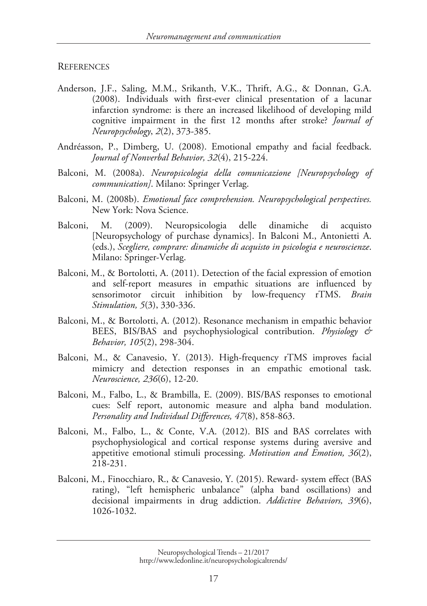#### **REFERENCES**

- Anderson, J.F., Saling, M.M., Srikanth, V.K., Thrift, A.G., & Donnan, G.A. (2008). Individuals with first-ever clinical presentation of a lacunar infarction syndrome: is there an increased likelihood of developing mild cognitive impairment in the first 12 months after stroke? *Journal of Neuropsychology*, *2*(2), 373-385.
- Andréasson, P., Dimberg, U. (2008). Emotional empathy and facial feedback. *Journal of Nonverbal Behavior, 32*(4), 215-224.
- Balconi, M. (2008a). *Neuropsicologia della comunicazione [Neuropsychology of communication]*. Milano: Springer Verlag.
- Balconi, M. (2008b). *Emotional face comprehension. Neuropsychological perspectives.* New York: Nova Science.
- Balconi, M. (2009). Neuropsicologia delle dinamiche di acquisto [Neuropsychology of purchase dynamics]. In Balconi M., Antonietti A. (eds.), *Scegliere, comprare: dinamiche di acquisto in psicologia e neuroscienze*. Milano: Springer-Verlag.
- Balconi, M., & Bortolotti, A. (2011). Detection of the facial expression of emotion and self-report measures in empathic situations are influenced by sensorimotor circuit inhibition by low-frequency rTMS. *Brain Stimulation, 5*(3), 330-336.
- Balconi, M., & Bortolotti, A. (2012). Resonance mechanism in empathic behavior BEES, BIS/BAS and psychophysiological contribution. *Physiology & Behavior, 105*(2), 298-304.
- Balconi, M., & Canavesio, Y. (2013). High-frequency rTMS improves facial mimicry and detection responses in an empathic emotional task. *Neuroscience, 236*(6), 12-20.
- Balconi, M., Falbo, L., & Brambilla, E. (2009). BIS/BAS responses to emotional cues: Self report, autonomic measure and alpha band modulation. *Personality and Individual Differences, 47*(8), 858-863.
- Balconi, M., Falbo, L., & Conte, V.A. (2012). BIS and BAS correlates with psychophysiological and cortical response systems during aversive and appetitive emotional stimuli processing. *Motivation and Emotion, 36*(2), 218-231.
- Balconi, M., Finocchiaro, R., & Canavesio, Y. (2015). Reward- system effect (BAS rating), "left hemispheric unbalance" (alpha band oscillations) and decisional impairments in drug addiction. *Addictive Behaviors, 39*(6), 1026-1032.

Neuropsychological Trends – 21/2017 http://www.ledonline.it/neuropsychologicaltrends/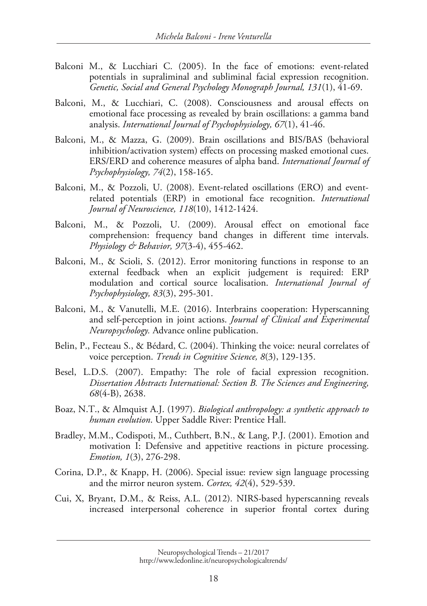- Balconi M., & Lucchiari C. (2005). In the face of emotions: event-related potentials in supraliminal and subliminal facial expression recognition. *Genetic, Social and General Psychology Monograph Journal, 131*(1), 41-69.
- Balconi, M., & Lucchiari, C. (2008). Consciousness and arousal effects on emotional face processing as revealed by brain oscillations: a gamma band analysis. *International Journal of Psychophysiology, 67*(1), 41-46.
- Balconi, M., & Mazza, G. (2009). Brain oscillations and BIS/BAS (behavioral inhibition/activation system) effects on processing masked emotional cues. ERS/ERD and coherence measures of alpha band. *International Journal of Psychophysiology, 74*(2), 158-165.
- Balconi, M., & Pozzoli, U. (2008). Event-related oscillations (ERO) and eventrelated potentials (ERP) in emotional face recognition. *International Journal of Neuroscience, 118*(10), 1412-1424.
- Balconi, M., & Pozzoli, U. (2009). Arousal effect on emotional face comprehension: frequency band changes in different time intervals. *Physiology & Behavior, 97*(3-4), 455-462.
- Balconi, M., & Scioli, S. (2012). Error monitoring functions in response to an external feedback when an explicit judgement is required: ERP modulation and cortical source localisation. *International Journal of Psychophysiology, 83*(3), 295-301.
- Balconi, M., & Vanutelli, M.E. (2016). Interbrains cooperation: Hyperscanning and self-perception in joint actions. *Journal of Clinical and Experimental Neuropsychology.* Advance online publication.
- Belin, P., Fecteau S., & Bédard, C. (2004). Thinking the voice: neural correlates of voice perception. *Trends in Cognitive Science, 8*(3), 129-135.
- Besel, L.D.S. (2007). Empathy: The role of facial expression recognition. *Dissertation Abstracts International: Section B. The Sciences and Engineering, 68*(4-B), 2638.
- Boaz, N.T., & Almquist A.J. (1997). *Biological anthropology: a synthetic approach to human evolution*. Upper Saddle River: Prentice Hall.
- Bradley, M.M., Codispoti, M., Cuthbert, B.N., & Lang, P.J. (2001). Emotion and motivation I: Defensive and appetitive reactions in picture processing. *Emotion, 1*(3), 276-298.
- Corina, D.P., & Knapp, H. (2006). Special issue: review sign language processing and the mirror neuron system. *Cortex, 42*(4), 529-539.
- Cui, X, Bryant, D.M., & Reiss, A.L. (2012). NIRS-based hyperscanning reveals increased interpersonal coherence in superior frontal cortex during

Neuropsychological Trends – 21/2017 http://www.ledonline.it/neuropsychologicaltrends/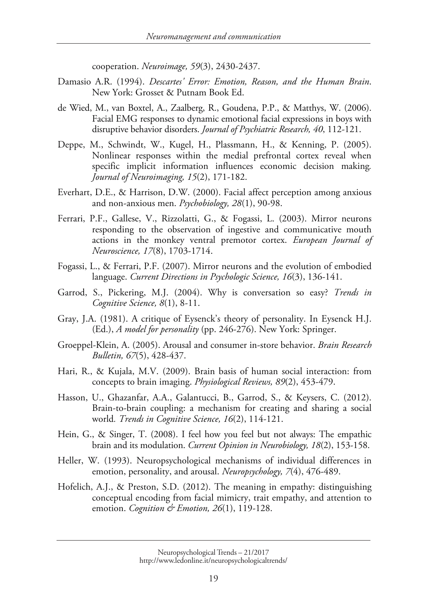cooperation. *Neuroimage, 59*(3), 2430-2437.

- Damasio A.R. (1994). *Descartes' Error: Emotion, Reason, and the Human Brain*. New York: Grosset & Putnam Book Ed.
- de Wied, M., van Boxtel, A., Zaalberg, R., Goudena, P.P., & Matthys, W. (2006). Facial EMG responses to dynamic emotional facial expressions in boys with disruptive behavior disorders. *Journal of Psychiatric Research, 40*, 112-121.
- Deppe, M., Schwindt, W., Kugel, H., Plassmann, H., & Kenning, P. (2005). Nonlinear responses within the medial prefrontal cortex reveal when specific implicit information influences economic decision making*. Journal of Neuroimaging, 15*(2), 171-182.
- Everhart, D.E., & Harrison, D.W. (2000). Facial affect perception among anxious and non-anxious men. *Psychobiology, 28*(1), 90-98.
- Ferrari, P.F., Gallese, V., Rizzolatti, G., & Fogassi, L. (2003). Mirror neurons responding to the observation of ingestive and communicative mouth actions in the monkey ventral premotor cortex. *European Journal of Neuroscience, 17*(8), 1703-1714.
- Fogassi, L., & Ferrari, P.F. (2007). Mirror neurons and the evolution of embodied language. *Current Directions in Psychologic Science, 16*(3), 136-141.
- Garrod, S., Pickering, M.J. (2004). Why is conversation so easy? *Trends in Cognitive Science, 8*(1), 8-11.
- Gray, J.A. (1981). A critique of Eysenck's theory of personality. In Eysenck H.J. (Ed.), *A model for personality* (pp. 246-276). New York: Springer.
- Groeppel-Klein, A. (2005). Arousal and consumer in-store behavior. *Brain Research Bulletin, 67*(5), 428-437.
- Hari, R., & Kujala, M.V. (2009). Brain basis of human social interaction: from concepts to brain imaging. *Physiological Reviews, 89*(2), 453-479.
- Hasson, U., Ghazanfar, A.A., Galantucci, B., Garrod, S., & Keysers, C. (2012). Brain-to-brain coupling: a mechanism for creating and sharing a social world*. Trends in Cognitive Science, 16*(2), 114-121.
- Hein, G., & Singer, T. (2008). I feel how you feel but not always: The empathic brain and its modulation. *Current Opinion in Neurobiology, 18*(2), 153-158.
- Heller, W. (1993). Neuropsychological mechanisms of individual differences in emotion, personality, and arousal. *Neuropsychology, 7*(4), 476-489.
- Hofelich, A.J., & Preston, S.D. (2012). The meaning in empathy: distinguishing conceptual encoding from facial mimicry, trait empathy, and attention to emotion. *Cognition & Emotion, 26*(1), 119-128.

Neuropsychological Trends – 21/2017 http://www.ledonline.it/neuropsychologicaltrends/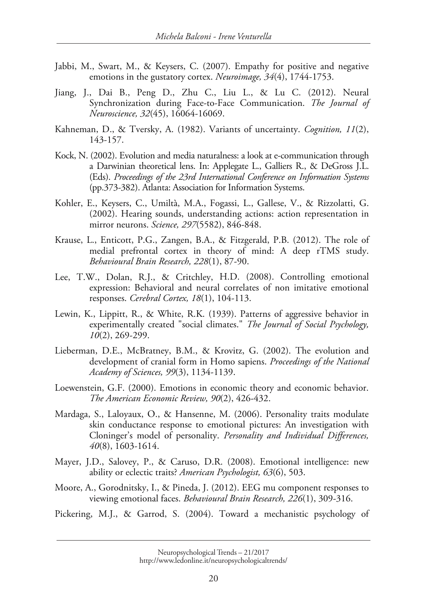- Jabbi, M., Swart, M., & Keysers, C. (2007). Empathy for positive and negative emotions in the gustatory cortex. *Neuroimage, 34*(4), 1744-1753.
- Jiang, J., Dai B., Peng D., Zhu C., Liu L., & Lu C. (2012). Neural Synchronization during Face-to-Face Communication. *The Journal of Neuroscience, 32*(45), 16064-16069.
- Kahneman, D., & Tversky, A. (1982). Variants of uncertainty. *Cognition, 11*(2), 143-157.
- Kock, N. (2002). Evolution and media naturalness: a look at e-communication through a Darwinian theoretical lens. In: Applegate L., Galliers R., & DeGross J.L. (Eds). *Proceedings of the 23rd International Conference on Information Systems*  (pp.373-382). Atlanta: Association for Information Systems.
- Kohler, E., Keysers, C., Umiltà, M.A., Fogassi, L., Gallese, V., & Rizzolatti, G. (2002). Hearing sounds, understanding actions: action representation in mirror neurons. *Science, 297*(5582), 846-848.
- Krause, L., Enticott, P.G., Zangen, B.A., & Fitzgerald, P.B. (2012). The role of medial prefrontal cortex in theory of mind: A deep rTMS study. *Behavioural Brain Research, 228*(1), 87-90.
- Lee, T.W., Dolan, R.J., & Critchley, H.D. (2008). Controlling emotional expression: Behavioral and neural correlates of non imitative emotional responses. *Cerebral Cortex, 18*(1), 104-113.
- Lewin, K., Lippitt, R., & White, R.K. (1939). Patterns of aggressive behavior in experimentally created "social climates." *The Journal of Social Psychology, 10*(2), 269-299.
- Lieberman, D.E., McBratney, B.M., & Krovitz, G. (2002). The evolution and development of cranial form in Homo sapiens. *Proceedings of the National Academy of Sciences, 99*(3), 1134-1139.
- Loewenstein, G.F. (2000). Emotions in economic theory and economic behavior. *The American Economic Review, 90*(2), 426-432.
- Mardaga, S., Laloyaux, O., & Hansenne, M. (2006). Personality traits modulate skin conductance response to emotional pictures: An investigation with Cloninger's model of personality. *Personality and Individual Differences, 40*(8), 1603-1614.
- Mayer, J.D., Salovey, P., & Caruso, D.R. (2008). Emotional intelligence: new ability or eclectic traits? *American Psychologist, 63*(6), 503.
- Moore, A., Gorodnitsky, I., & Pineda, J. (2012). EEG mu component responses to viewing emotional faces. *Behavioural Brain Research, 226*(1), 309-316.
- Pickering, M.J., & Garrod, S. (2004). Toward a mechanistic psychology of

Neuropsychological Trends – 21/2017 http://www.ledonline.it/neuropsychologicaltrends/